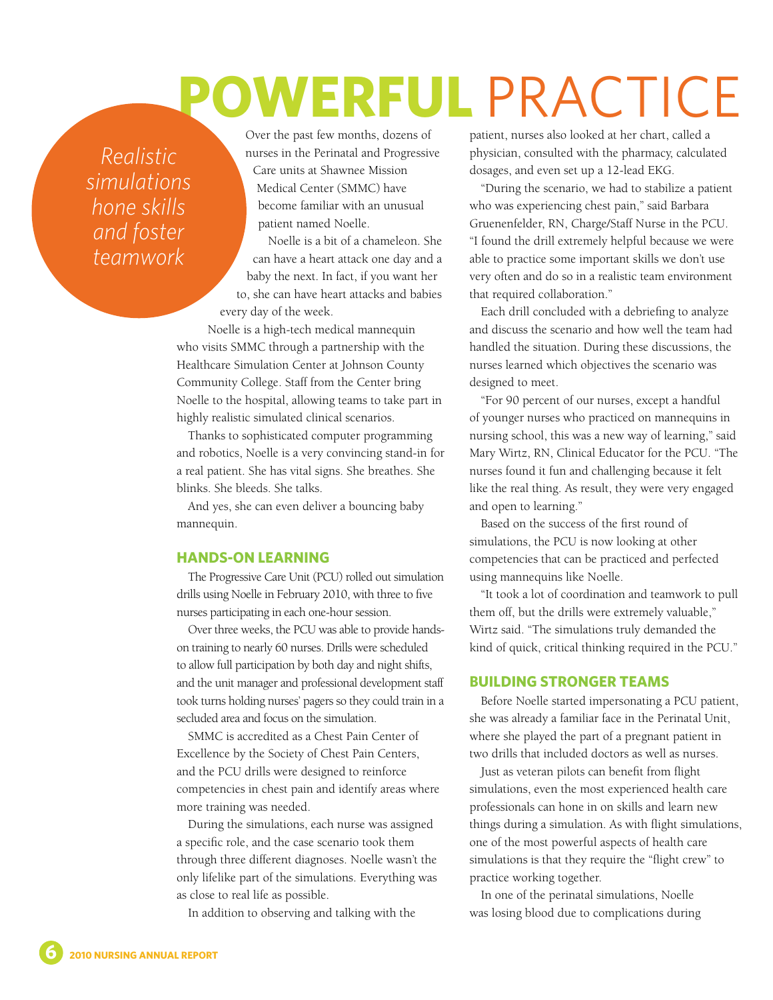## **POWERFUL** PRACTICE

*Realistic simulations hone skills and foster teamwork*

Over the past few months, dozens of nurses in the Perinatal and Progressive Care units at Shawnee Mission Medical Center (SMMC) have become familiar with an unusual patient named Noelle.

Noelle is a bit of a chameleon. She can have a heart attack one day and a baby the next. In fact, if you want her to, she can have heart attacks and babies every day of the week.

Noelle is a high-tech medical mannequin who visits SMMC through a partnership with the Healthcare Simulation Center at Johnson County Community College. Staff from the Center bring Noelle to the hospital, allowing teams to take part in highly realistic simulated clinical scenarios.

Thanks to sophisticated computer programming and robotics, Noelle is a very convincing stand-in for a real patient. She has vital signs. She breathes. She blinks. She bleeds. She talks.

And yes, she can even deliver a bouncing baby mannequin.

## **HANDS-ON LEARNING**

The Progressive Care Unit (PCU) rolled out simulation drills using Noelle in February 2010, with three to five nurses participating in each one-hour session.

Over three weeks, the PCU was able to provide handson training to nearly 60 nurses. Drills were scheduled to allow full participation by both day and night shifts, and the unit manager and professional development staff took turns holding nurses' pagers so they could train in a secluded area and focus on the simulation.

SMMC is accredited as a Chest Pain Center of Excellence by the Society of Chest Pain Centers, and the PCU drills were designed to reinforce competencies in chest pain and identify areas where more training was needed.

During the simulations, each nurse was assigned a specific role, and the case scenario took them through three different diagnoses. Noelle wasn't the only lifelike part of the simulations. Everything was as close to real life as possible.

In addition to observing and talking with the

patient, nurses also looked at her chart, called a physician, consulted with the pharmacy, calculated dosages, and even set up a 12-lead EKG.

"During the scenario, we had to stabilize a patient who was experiencing chest pain," said Barbara Gruenenfelder, RN, Charge/Staff Nurse in the PCU. "I found the drill extremely helpful because we were able to practice some important skills we don't use very often and do so in a realistic team environment that required collaboration."

Each drill concluded with a debriefing to analyze and discuss the scenario and how well the team had handled the situation. During these discussions, the nurses learned which objectives the scenario was designed to meet.

"For 90 percent of our nurses, except a handful of younger nurses who practiced on mannequins in nursing school, this was a new way of learning," said Mary Wirtz, RN, Clinical Educator for the PCU. "The nurses found it fun and challenging because it felt like the real thing. As result, they were very engaged and open to learning."

Based on the success of the first round of simulations, the PCU is now looking at other competencies that can be practiced and perfected using mannequins like Noelle.

"It took a lot of coordination and teamwork to pull them off, but the drills were extremely valuable," Wirtz said. "The simulations truly demanded the kind of quick, critical thinking required in the PCU."

## **BUILDING STRONGER TEAMS**

Before Noelle started impersonating a PCU patient, she was already a familiar face in the Perinatal Unit, where she played the part of a pregnant patient in two drills that included doctors as well as nurses.

Just as veteran pilots can benefit from flight simulations, even the most experienced health care professionals can hone in on skills and learn new things during a simulation. As with flight simulations, one of the most powerful aspects of health care simulations is that they require the "flight crew" to practice working together.

In one of the perinatal simulations, Noelle was losing blood due to complications during